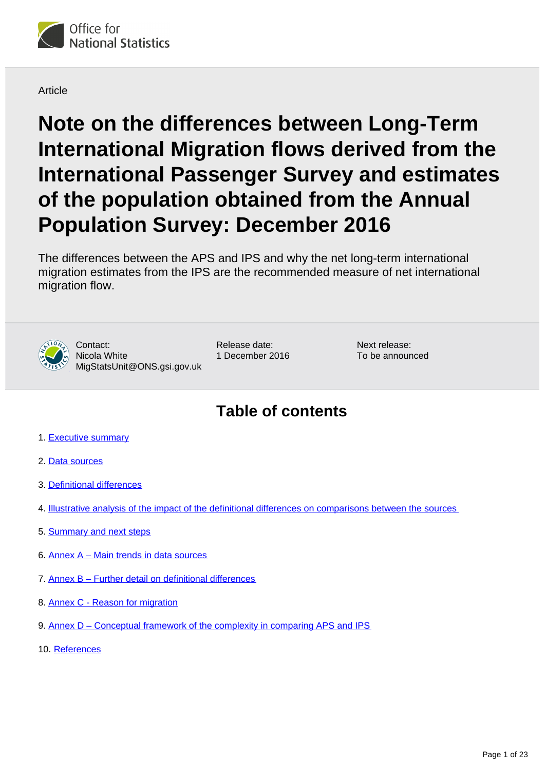

#### **Article**

**Note on the differences between Long-Term International Migration flows derived from the International Passenger Survey and estimates of the population obtained from the Annual Population Survey: December 2016**

The differences between the APS and IPS and why the net long-term international migration estimates from the IPS are the recommended measure of net international migration flow.



Contact: Nicola White MigStatsUnit@ONS.gsi.gov.uk Release date: 1 December 2016 Next release: To be announced

# **Table of contents**

- 1. [Executive summary](#page-1-0)
- 2. [Data sources](#page-2-0)
- 3. [Definitional differences](#page-3-0)
- 4. [Illustrative analysis of the impact of the definitional differences on comparisons between the sources](#page-8-0)
- 5. [Summary and next steps](#page-14-0)
- 6. [Annex A Main trends in data sources](#page-15-0)
- 7. [Annex B Further detail on definitional differences](#page-17-0)
- 8. [Annex C Reason for migration](#page-19-0)
- 9. [Annex D Conceptual framework of the complexity in comparing APS and IPS](#page-20-0)
- 10. [References](#page-21-0)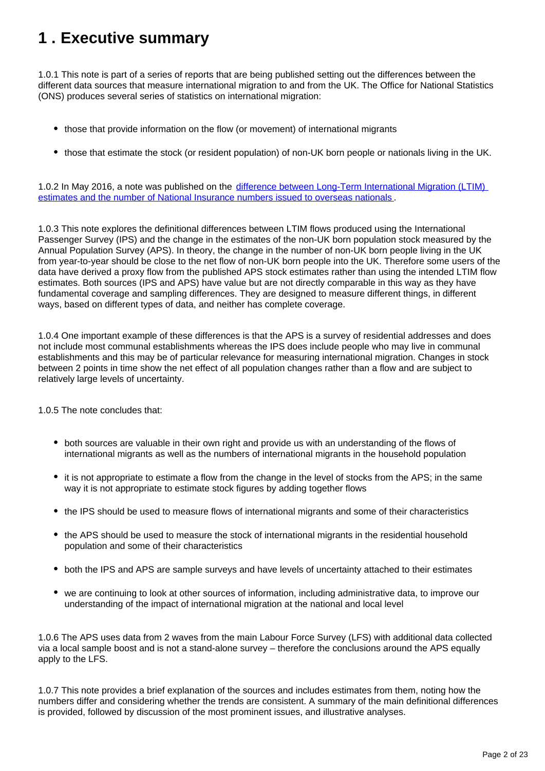# <span id="page-1-0"></span>**1 . Executive summary**

1.0.1 This note is part of a series of reports that are being published setting out the differences between the different data sources that measure international migration to and from the UK. The Office for National Statistics (ONS) produces several series of statistics on international migration:

- those that provide information on the flow (or movement) of international migrants
- those that estimate the stock (or resident population) of non-UK born people or nationals living in the UK.

1.0.2 In May 2016, a note was published on the [difference between Long-Term International Migration \(LTIM\)](https://www.ons.gov.uk/peoplepopulationandcommunity/populationandmigration/internationalmigration/articles/noteonthedifferencebetweennationalinsurancenumberregistrationsandtheestimateoflongterminternationalmigration/2016)  [estimates and the number of National Insurance numbers issued to overseas nationals](https://www.ons.gov.uk/peoplepopulationandcommunity/populationandmigration/internationalmigration/articles/noteonthedifferencebetweennationalinsurancenumberregistrationsandtheestimateoflongterminternationalmigration/2016) .

1.0.3 This note explores the definitional differences between LTIM flows produced using the International Passenger Survey (IPS) and the change in the estimates of the non-UK born population stock measured by the Annual Population Survey (APS). In theory, the change in the number of non-UK born people living in the UK from year-to-year should be close to the net flow of non-UK born people into the UK. Therefore some users of the data have derived a proxy flow from the published APS stock estimates rather than using the intended LTIM flow estimates. Both sources (IPS and APS) have value but are not directly comparable in this way as they have fundamental coverage and sampling differences. They are designed to measure different things, in different ways, based on different types of data, and neither has complete coverage.

1.0.4 One important example of these differences is that the APS is a survey of residential addresses and does not include most communal establishments whereas the IPS does include people who may live in communal establishments and this may be of particular relevance for measuring international migration. Changes in stock between 2 points in time show the net effect of all population changes rather than a flow and are subject to relatively large levels of uncertainty.

1.0.5 The note concludes that:

- both sources are valuable in their own right and provide us with an understanding of the flows of international migrants as well as the numbers of international migrants in the household population
- it is not appropriate to estimate a flow from the change in the level of stocks from the APS; in the same way it is not appropriate to estimate stock figures by adding together flows
- the IPS should be used to measure flows of international migrants and some of their characteristics
- the APS should be used to measure the stock of international migrants in the residential household population and some of their characteristics
- both the IPS and APS are sample surveys and have levels of uncertainty attached to their estimates
- we are continuing to look at other sources of information, including administrative data, to improve our understanding of the impact of international migration at the national and local level

1.0.6 The APS uses data from 2 waves from the main Labour Force Survey (LFS) with additional data collected via a local sample boost and is not a stand-alone survey – therefore the conclusions around the APS equally apply to the LFS.

1.0.7 This note provides a brief explanation of the sources and includes estimates from them, noting how the numbers differ and considering whether the trends are consistent. A summary of the main definitional differences is provided, followed by discussion of the most prominent issues, and illustrative analyses.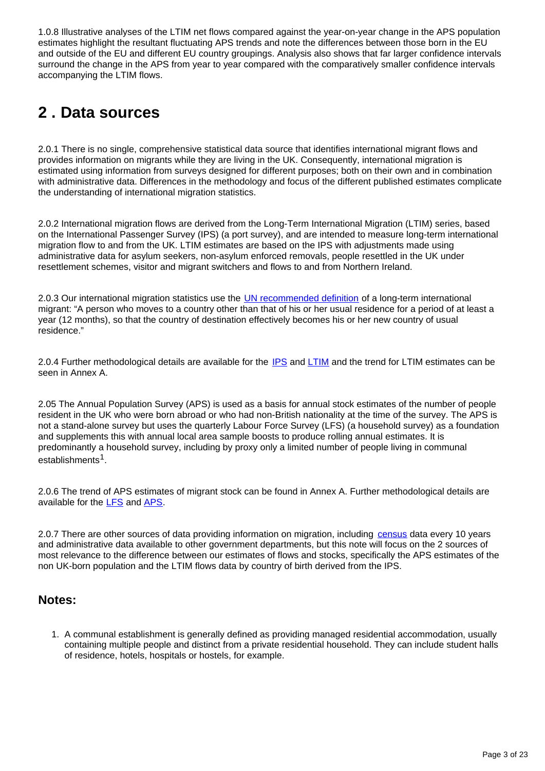1.0.8 Illustrative analyses of the LTIM net flows compared against the year-on-year change in the APS population estimates highlight the resultant fluctuating APS trends and note the differences between those born in the EU and outside of the EU and different EU country groupings. Analysis also shows that far larger confidence intervals surround the change in the APS from year to year compared with the comparatively smaller confidence intervals accompanying the LTIM flows.

# <span id="page-2-0"></span>**2 . Data sources**

2.0.1 There is no single, comprehensive statistical data source that identifies international migrant flows and provides information on migrants while they are living in the UK. Consequently, international migration is estimated using information from surveys designed for different purposes; both on their own and in combination with administrative data. Differences in the methodology and focus of the different published estimates complicate the understanding of international migration statistics.

2.0.2 International migration flows are derived from the Long-Term International Migration (LTIM) series, based on the International Passenger Survey (IPS) (a port survey), and are intended to measure long-term international migration flow to and from the UK. LTIM estimates are based on the IPS with adjustments made using administrative data for asylum seekers, non-asylum enforced removals, people resettled in the UK under resettlement schemes, visitor and migrant switchers and flows to and from Northern Ireland.

2.0.3 Our international migration statistics use the [UN recommended definition](http://unstats.un.org/unsd/publication/SeriesM/SeriesM_58rev1e.pdf) of a long-term international migrant: "A person who moves to a country other than that of his or her usual residence for a period of at least a year (12 months), so that the country of destination effectively becomes his or her new country of usual residence."

2.0.4 Further methodological details are available for the [IPS](https://www.ons.gov.uk/peoplepopulationandcommunity/leisureandtourism/qmis/internationalpassengersurveyipsqmi) and [LTIM](https://www.ons.gov.uk/peoplepopulationandcommunity/populationandmigration/internationalmigration/methodologies/internationalmigrationmethodology) and the trend for LTIM estimates can be seen in Annex A.

2.05 The Annual Population Survey (APS) is used as a basis for annual stock estimates of the number of people resident in the UK who were born abroad or who had non-British nationality at the time of the survey. The APS is not a stand-alone survey but uses the quarterly Labour Force Survey (LFS) (a household survey) as a foundation and supplements this with annual local area sample boosts to produce rolling annual estimates. It is predominantly a household survey, including by proxy only a limited number of people living in communal establishments<sup>1</sup>.

2.0.6 The trend of APS estimates of migrant stock can be found in Annex A. Further methodological details are available for the **LFS** and **APS**.

2.0.7 There are other sources of data providing information on migration, including [census](http://www.ons.gov.uk/ons/guide-method/method-quality/specific/population-and-migration/international-migration-methodology/quality-of-long-term-international-migration-estimates-from-2001-to-2011---full-report.pdf) data every 10 years and administrative data available to other government departments, but this note will focus on the 2 sources of most relevance to the difference between our estimates of flows and stocks, specifically the APS estimates of the non UK-born population and the LTIM flows data by country of birth derived from the IPS.

### **Notes:**

1. A communal establishment is generally defined as providing managed residential accommodation, usually containing multiple people and distinct from a private residential household. They can include student halls of residence, hotels, hospitals or hostels, for example.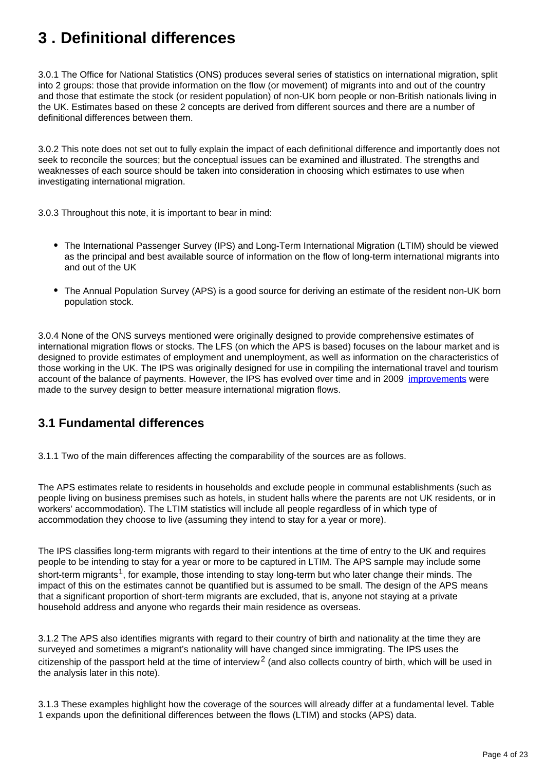# <span id="page-3-0"></span>**3 . Definitional differences**

3.0.1 The Office for National Statistics (ONS) produces several series of statistics on international migration, split into 2 groups: those that provide information on the flow (or movement) of migrants into and out of the country and those that estimate the stock (or resident population) of non-UK born people or non-British nationals living in the UK. Estimates based on these 2 concepts are derived from different sources and there are a number of definitional differences between them.

3.0.2 This note does not set out to fully explain the impact of each definitional difference and importantly does not seek to reconcile the sources; but the conceptual issues can be examined and illustrated. The strengths and weaknesses of each source should be taken into consideration in choosing which estimates to use when investigating international migration.

3.0.3 Throughout this note, it is important to bear in mind:

- The International Passenger Survey (IPS) and Long-Term International Migration (LTIM) should be viewed as the principal and best available source of information on the flow of long-term international migrants into and out of the UK
- The Annual Population Survey (APS) is a good source for deriving an estimate of the resident non-UK born population stock.

3.0.4 None of the ONS surveys mentioned were originally designed to provide comprehensive estimates of international migration flows or stocks. The LFS (on which the APS is based) focuses on the labour market and is designed to provide estimates of employment and unemployment, as well as information on the characteristics of those working in the UK. The IPS was originally designed for use in compiling the international travel and tourism account of the balance of payments. However, the IPS has evolved over time and in 2009 [improvements](http://www.ons.gov.uk/ons/guide-method/method-quality/imps/msi-programme/working-groups/entry-and-exit-working-group/port-survey-review-stage-two-final-technical-report.pdf) were made to the survey design to better measure international migration flows.

### **3.1 Fundamental differences**

3.1.1 Two of the main differences affecting the comparability of the sources are as follows.

The APS estimates relate to residents in households and exclude people in communal establishments (such as people living on business premises such as hotels, in student halls where the parents are not UK residents, or in workers' accommodation). The LTIM statistics will include all people regardless of in which type of accommodation they choose to live (assuming they intend to stay for a year or more).

The IPS classifies long-term migrants with regard to their intentions at the time of entry to the UK and requires people to be intending to stay for a year or more to be captured in LTIM. The APS sample may include some short-term migrants<sup>1</sup>, for example, those intending to stay long-term but who later change their minds. The impact of this on the estimates cannot be quantified but is assumed to be small. The design of the APS means that a significant proportion of short-term migrants are excluded, that is, anyone not staying at a private household address and anyone who regards their main residence as overseas.

3.1.2 The APS also identifies migrants with regard to their country of birth and nationality at the time they are surveyed and sometimes a migrant's nationality will have changed since immigrating. The IPS uses the citizenship of the passport held at the time of interview<sup>2</sup> (and also collects country of birth, which will be used in the analysis later in this note).

3.1.3 These examples highlight how the coverage of the sources will already differ at a fundamental level. Table 1 expands upon the definitional differences between the flows (LTIM) and stocks (APS) data.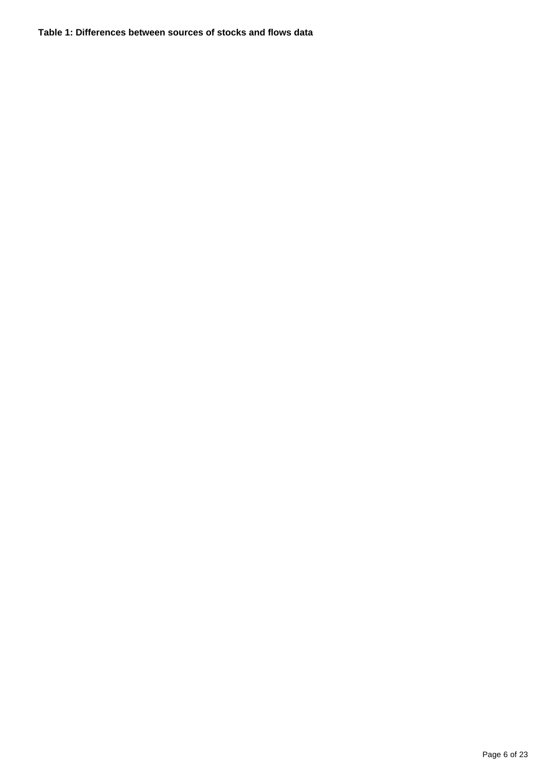#### **Table 1: Differences between sources of stocks and flows data**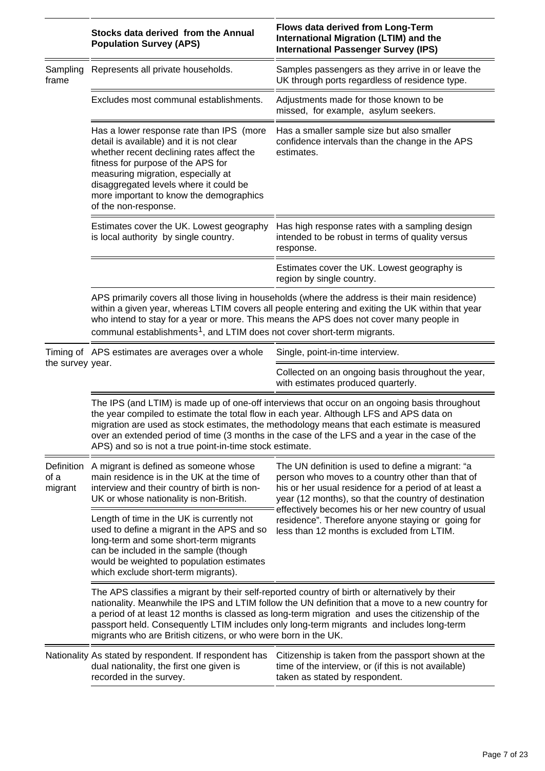|                               | Stocks data derived from the Annual<br><b>Population Survey (APS)</b>                                                                                                                                                                                                                                                                                                                                                                                                 | Flows data derived from Long-Term<br>International Migration (LTIM) and the<br><b>International Passenger Survey (IPS)</b>                                                                                                                                                                                                                                                       |
|-------------------------------|-----------------------------------------------------------------------------------------------------------------------------------------------------------------------------------------------------------------------------------------------------------------------------------------------------------------------------------------------------------------------------------------------------------------------------------------------------------------------|----------------------------------------------------------------------------------------------------------------------------------------------------------------------------------------------------------------------------------------------------------------------------------------------------------------------------------------------------------------------------------|
| Sampling<br>frame             | Represents all private households.                                                                                                                                                                                                                                                                                                                                                                                                                                    | Samples passengers as they arrive in or leave the<br>UK through ports regardless of residence type.                                                                                                                                                                                                                                                                              |
|                               | Excludes most communal establishments.                                                                                                                                                                                                                                                                                                                                                                                                                                | Adjustments made for those known to be<br>missed, for example, asylum seekers.                                                                                                                                                                                                                                                                                                   |
|                               | Has a lower response rate than IPS (more<br>detail is available) and it is not clear<br>whether recent declining rates affect the<br>fitness for purpose of the APS for<br>measuring migration, especially at<br>disaggregated levels where it could be<br>more important to know the demographics<br>of the non-response.                                                                                                                                            | Has a smaller sample size but also smaller<br>confidence intervals than the change in the APS<br>estimates.                                                                                                                                                                                                                                                                      |
|                               | Estimates cover the UK. Lowest geography<br>is local authority by single country.                                                                                                                                                                                                                                                                                                                                                                                     | Has high response rates with a sampling design<br>intended to be robust in terms of quality versus<br>response.                                                                                                                                                                                                                                                                  |
|                               |                                                                                                                                                                                                                                                                                                                                                                                                                                                                       | Estimates cover the UK. Lowest geography is<br>region by single country.                                                                                                                                                                                                                                                                                                         |
|                               | APS primarily covers all those living in households (where the address is their main residence)<br>within a given year, whereas LTIM covers all people entering and exiting the UK within that year<br>who intend to stay for a year or more. This means the APS does not cover many people in<br>communal establishments <sup>1</sup> , and LTIM does not cover short-term migrants.                                                                                 |                                                                                                                                                                                                                                                                                                                                                                                  |
| the survey year.              | Timing of APS estimates are averages over a whole                                                                                                                                                                                                                                                                                                                                                                                                                     | Single, point-in-time interview.                                                                                                                                                                                                                                                                                                                                                 |
|                               |                                                                                                                                                                                                                                                                                                                                                                                                                                                                       | Collected on an ongoing basis throughout the year,<br>with estimates produced quarterly.                                                                                                                                                                                                                                                                                         |
|                               | The IPS (and LTIM) is made up of one-off interviews that occur on an ongoing basis throughout<br>the year compiled to estimate the total flow in each year. Although LFS and APS data on<br>migration are used as stock estimates, the methodology means that each estimate is measured<br>over an extended period of time (3 months in the case of the LFS and a year in the case of the<br>APS) and so is not a true point-in-time stock estimate.                  |                                                                                                                                                                                                                                                                                                                                                                                  |
| Definition<br>of a<br>migrant | A migrant is defined as someone whose<br>main residence is in the UK at the time of<br>interview and their country of birth is non-<br>UK or whose nationality is non-British.                                                                                                                                                                                                                                                                                        | The UN definition is used to define a migrant: "a<br>person who moves to a country other than that of<br>his or her usual residence for a period of at least a<br>year (12 months), so that the country of destination<br>effectively becomes his or her new country of usual<br>residence". Therefore anyone staying or going for<br>less than 12 months is excluded from LTIM. |
|                               | Length of time in the UK is currently not<br>used to define a migrant in the APS and so<br>long-term and some short-term migrants<br>can be included in the sample (though<br>would be weighted to population estimates<br>which exclude short-term migrants).                                                                                                                                                                                                        |                                                                                                                                                                                                                                                                                                                                                                                  |
|                               | The APS classifies a migrant by their self-reported country of birth or alternatively by their<br>nationality. Meanwhile the IPS and LTIM follow the UN definition that a move to a new country for<br>a period of at least 12 months is classed as long-term migration and uses the citizenship of the<br>passport held. Consequently LTIM includes only long-term migrants and includes long-term<br>migrants who are British citizens, or who were born in the UK. |                                                                                                                                                                                                                                                                                                                                                                                  |
|                               | Nationality As stated by respondent. If respondent has<br>dual nationality, the first one given is<br>recorded in the survey.                                                                                                                                                                                                                                                                                                                                         | Citizenship is taken from the passport shown at the<br>time of the interview, or (if this is not available)<br>taken as stated by respondent.                                                                                                                                                                                                                                    |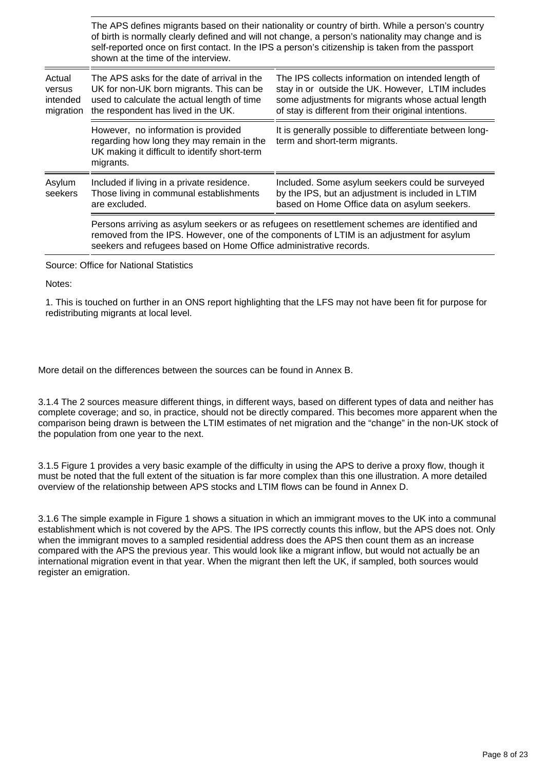The APS defines migrants based on their nationality or country of birth. While a person's country of birth is normally clearly defined and will not change, a person's nationality may change and is self-reported once on first contact. In the IPS a person's citizenship is taken from the passport shown at the time of the interview.

| Actual<br>versus<br>intended<br>migration | The APS asks for the date of arrival in the<br>UK for non-UK born migrants. This can be<br>used to calculate the actual length of time<br>the respondent has lived in the UK.                                                                                 | The IPS collects information on intended length of<br>stay in or outside the UK. However, LTIM includes<br>some adjustments for migrants whose actual length<br>of stay is different from their original intentions. |
|-------------------------------------------|---------------------------------------------------------------------------------------------------------------------------------------------------------------------------------------------------------------------------------------------------------------|----------------------------------------------------------------------------------------------------------------------------------------------------------------------------------------------------------------------|
|                                           | However, no information is provided<br>regarding how long they may remain in the<br>UK making it difficult to identify short-term<br>migrants.                                                                                                                | It is generally possible to differentiate between long-<br>term and short-term migrants.                                                                                                                             |
| Asylum<br>seekers                         | Included if living in a private residence.<br>Those living in communal establishments<br>are excluded.                                                                                                                                                        | Included. Some asylum seekers could be surveyed<br>by the IPS, but an adjustment is included in LTIM<br>based on Home Office data on asylum seekers.                                                                 |
|                                           | Persons arriving as asylum seekers or as refugees on resettlement schemes are identified and<br>removed from the IPS. However, one of the components of LTIM is an adjustment for asylum<br>seekers and refugees based on Home Office administrative records. |                                                                                                                                                                                                                      |

Source: Office for National Statistics

Notes:

1. This is touched on further in an ONS report highlighting that the LFS may not have been fit for purpose for redistributing migrants at local level.

More detail on the differences between the sources can be found in Annex B.

3.1.4 The 2 sources measure different things, in different ways, based on different types of data and neither has complete coverage; and so, in practice, should not be directly compared. This becomes more apparent when the comparison being drawn is between the LTIM estimates of net migration and the "change" in the non-UK stock of the population from one year to the next.

3.1.5 Figure 1 provides a very basic example of the difficulty in using the APS to derive a proxy flow, though it must be noted that the full extent of the situation is far more complex than this one illustration. A more detailed overview of the relationship between APS stocks and LTIM flows can be found in Annex D.

3.1.6 The simple example in Figure 1 shows a situation in which an immigrant moves to the UK into a communal establishment which is not covered by the APS. The IPS correctly counts this inflow, but the APS does not. Only when the immigrant moves to a sampled residential address does the APS then count them as an increase compared with the APS the previous year. This would look like a migrant inflow, but would not actually be an international migration event in that year. When the migrant then left the UK, if sampled, both sources would register an emigration.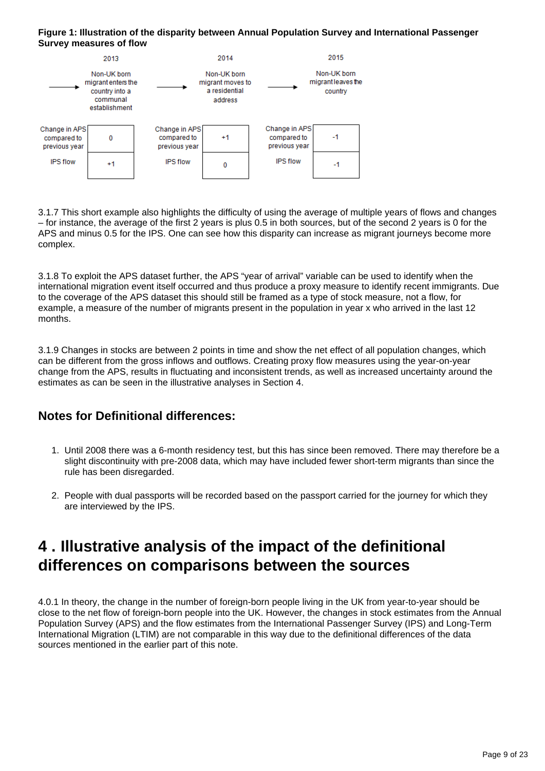#### **Figure 1: Illustration of the disparity between Annual Population Survey and International Passenger Survey measures of flow**



3.1.7 This short example also highlights the difficulty of using the average of multiple years of flows and changes – for instance, the average of the first 2 years is plus 0.5 in both sources, but of the second 2 years is 0 for the APS and minus 0.5 for the IPS. One can see how this disparity can increase as migrant journeys become more complex.

3.1.8 To exploit the APS dataset further, the APS "year of arrival" variable can be used to identify when the international migration event itself occurred and thus produce a proxy measure to identify recent immigrants. Due to the coverage of the APS dataset this should still be framed as a type of stock measure, not a flow, for example, a measure of the number of migrants present in the population in year x who arrived in the last 12 months.

3.1.9 Changes in stocks are between 2 points in time and show the net effect of all population changes, which can be different from the gross inflows and outflows. Creating proxy flow measures using the year-on-year change from the APS, results in fluctuating and inconsistent trends, as well as increased uncertainty around the estimates as can be seen in the illustrative analyses in Section 4.

## **Notes for Definitional differences:**

- 1. Until 2008 there was a 6-month residency test, but this has since been removed. There may therefore be a slight discontinuity with pre-2008 data, which may have included fewer short-term migrants than since the rule has been disregarded.
- 2. People with dual passports will be recorded based on the passport carried for the journey for which they are interviewed by the IPS.

# <span id="page-8-0"></span>**4 . Illustrative analysis of the impact of the definitional differences on comparisons between the sources**

4.0.1 In theory, the change in the number of foreign-born people living in the UK from year-to-year should be close to the net flow of foreign-born people into the UK. However, the changes in stock estimates from the Annual Population Survey (APS) and the flow estimates from the International Passenger Survey (IPS) and Long-Term International Migration (LTIM) are not comparable in this way due to the definitional differences of the data sources mentioned in the earlier part of this note.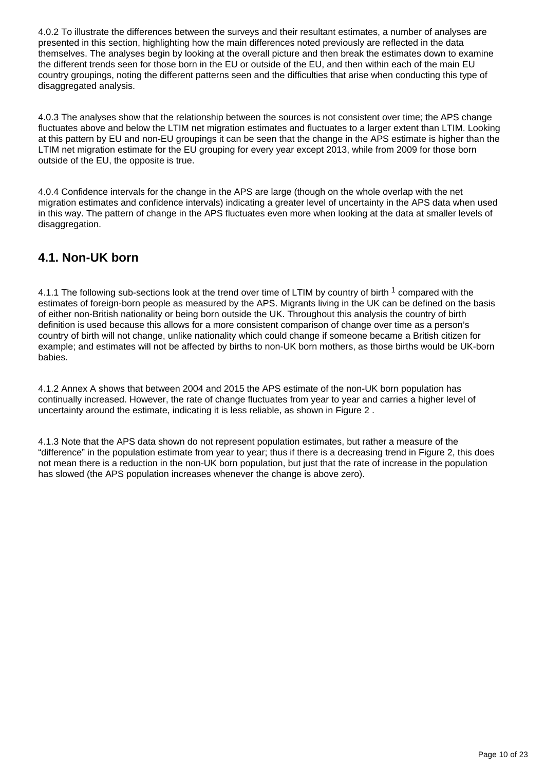4.0.2 To illustrate the differences between the surveys and their resultant estimates, a number of analyses are presented in this section, highlighting how the main differences noted previously are reflected in the data themselves. The analyses begin by looking at the overall picture and then break the estimates down to examine the different trends seen for those born in the EU or outside of the EU, and then within each of the main EU country groupings, noting the different patterns seen and the difficulties that arise when conducting this type of disaggregated analysis.

4.0.3 The analyses show that the relationship between the sources is not consistent over time; the APS change fluctuates above and below the LTIM net migration estimates and fluctuates to a larger extent than LTIM. Looking at this pattern by EU and non-EU groupings it can be seen that the change in the APS estimate is higher than the LTIM net migration estimate for the EU grouping for every year except 2013, while from 2009 for those born outside of the EU, the opposite is true.

4.0.4 Confidence intervals for the change in the APS are large (though on the whole overlap with the net migration estimates and confidence intervals) indicating a greater level of uncertainty in the APS data when used in this way. The pattern of change in the APS fluctuates even more when looking at the data at smaller levels of disaggregation.

### **4.1. Non-UK born**

4.1.1 The following sub-sections look at the trend over time of LTIM by country of birth <sup>1</sup> compared with the estimates of foreign-born people as measured by the APS. Migrants living in the UK can be defined on the basis of either non-British nationality or being born outside the UK. Throughout this analysis the country of birth definition is used because this allows for a more consistent comparison of change over time as a person's country of birth will not change, unlike nationality which could change if someone became a British citizen for example; and estimates will not be affected by births to non-UK born mothers, as those births would be UK-born babies.

4.1.2 Annex A shows that between 2004 and 2015 the APS estimate of the non-UK born population has continually increased. However, the rate of change fluctuates from year to year and carries a higher level of uncertainty around the estimate, indicating it is less reliable, as shown in Figure 2 .

4.1.3 Note that the APS data shown do not represent population estimates, but rather a measure of the "difference" in the population estimate from year to year; thus if there is a decreasing trend in Figure 2, this does not mean there is a reduction in the non-UK born population, but just that the rate of increase in the population has slowed (the APS population increases whenever the change is above zero).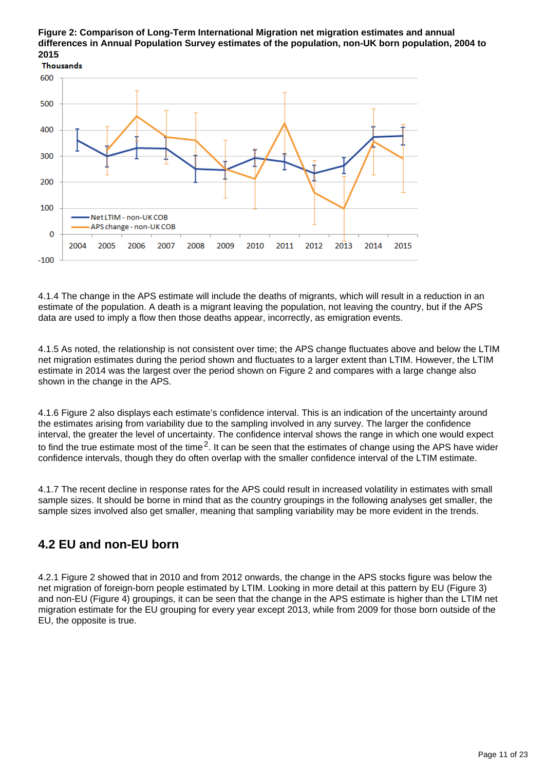#### **Figure 2: Comparison of Long-Term International Migration net migration estimates and annual differences in Annual Population Survey estimates of the population, non-UK born population, 2004 to 2015**



4.1.4 The change in the APS estimate will include the deaths of migrants, which will result in a reduction in an estimate of the population. A death is a migrant leaving the population, not leaving the country, but if the APS data are used to imply a flow then those deaths appear, incorrectly, as emigration events.

4.1.5 As noted, the relationship is not consistent over time; the APS change fluctuates above and below the LTIM net migration estimates during the period shown and fluctuates to a larger extent than LTIM. However, the LTIM estimate in 2014 was the largest over the period shown on Figure 2 and compares with a large change also shown in the change in the APS.

4.1.6 Figure 2 also displays each estimate's confidence interval. This is an indication of the uncertainty around the estimates arising from variability due to the sampling involved in any survey. The larger the confidence interval, the greater the level of uncertainty. The confidence interval shows the range in which one would expect to find the true estimate most of the time<sup>2</sup>. It can be seen that the estimates of change using the APS have wider confidence intervals, though they do often overlap with the smaller confidence interval of the LTIM estimate.

4.1.7 The recent decline in response rates for the APS could result in increased volatility in estimates with small sample sizes. It should be borne in mind that as the country groupings in the following analyses get smaller, the sample sizes involved also get smaller, meaning that sampling variability may be more evident in the trends.

# **4.2 EU and non-EU born**

4.2.1 Figure 2 showed that in 2010 and from 2012 onwards, the change in the APS stocks figure was below the net migration of foreign-born people estimated by LTIM. Looking in more detail at this pattern by EU (Figure 3) and non-EU (Figure 4) groupings, it can be seen that the change in the APS estimate is higher than the LTIM net migration estimate for the EU grouping for every year except 2013, while from 2009 for those born outside of the EU, the opposite is true.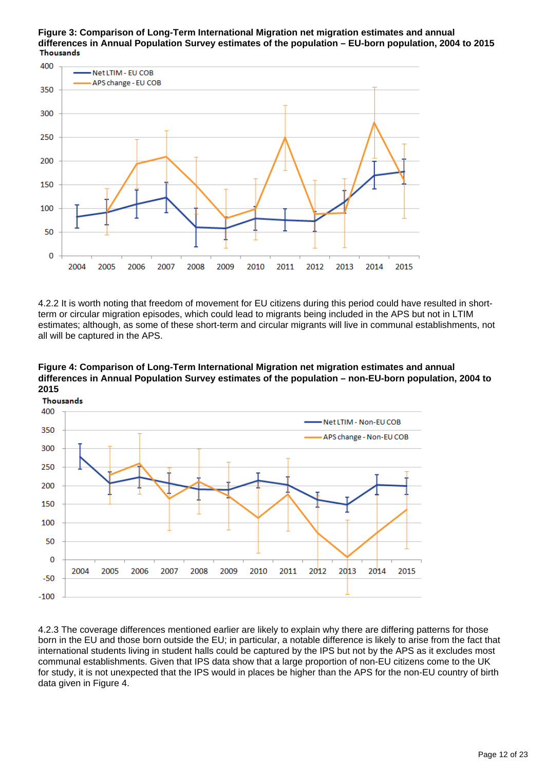**Figure 3: Comparison of Long-Term International Migration net migration estimates and annual differences in Annual Population Survey estimates of the population – EU-born population, 2004 to 2015 Thousands** 



4.2.2 It is worth noting that freedom of movement for EU citizens during this period could have resulted in shortterm or circular migration episodes, which could lead to migrants being included in the APS but not in LTIM estimates; although, as some of these short-term and circular migrants will live in communal establishments, not all will be captured in the APS.

**Figure 4: Comparison of Long-Term International Migration net migration estimates and annual differences in Annual Population Survey estimates of the population – non-EU-born population, 2004 to 2015**



4.2.3 The coverage differences mentioned earlier are likely to explain why there are differing patterns for those born in the EU and those born outside the EU; in particular, a notable difference is likely to arise from the fact that international students living in student halls could be captured by the IPS but not by the APS as it excludes most communal establishments. Given that IPS data show that a large proportion of non-EU citizens come to the UK for study, it is not unexpected that the IPS would in places be higher than the APS for the non-EU country of birth data given in Figure 4.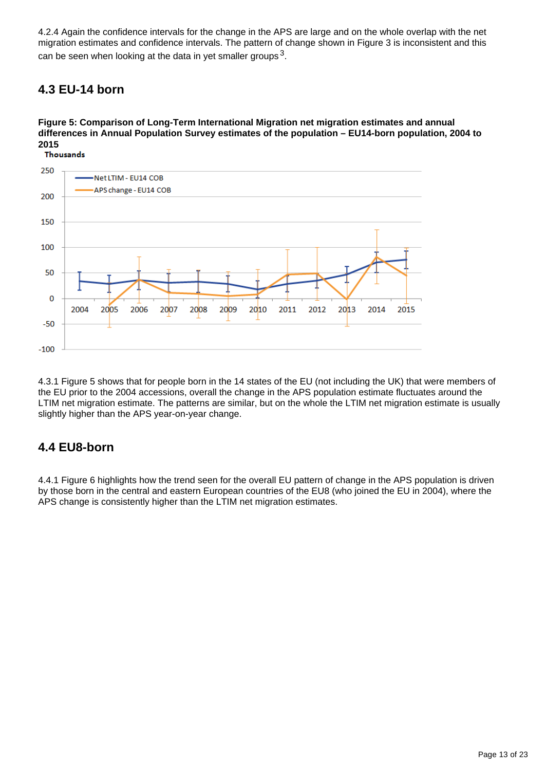4.2.4 Again the confidence intervals for the change in the APS are large and on the whole overlap with the net migration estimates and confidence intervals. The pattern of change shown in Figure 3 is inconsistent and this can be seen when looking at the data in yet smaller groups  $3$ .

## **4.3 EU-14 born**

### **Figure 5: Comparison of Long-Term International Migration net migration estimates and annual differences in Annual Population Survey estimates of the population – EU14-born population, 2004 to 2015**



4.3.1 Figure 5 shows that for people born in the 14 states of the EU (not including the UK) that were members of the EU prior to the 2004 accessions, overall the change in the APS population estimate fluctuates around the LTIM net migration estimate. The patterns are similar, but on the whole the LTIM net migration estimate is usually slightly higher than the APS year-on-year change.

## **4.4 EU8-born**

4.4.1 Figure 6 highlights how the trend seen for the overall EU pattern of change in the APS population is driven by those born in the central and eastern European countries of the EU8 (who joined the EU in 2004), where the APS change is consistently higher than the LTIM net migration estimates.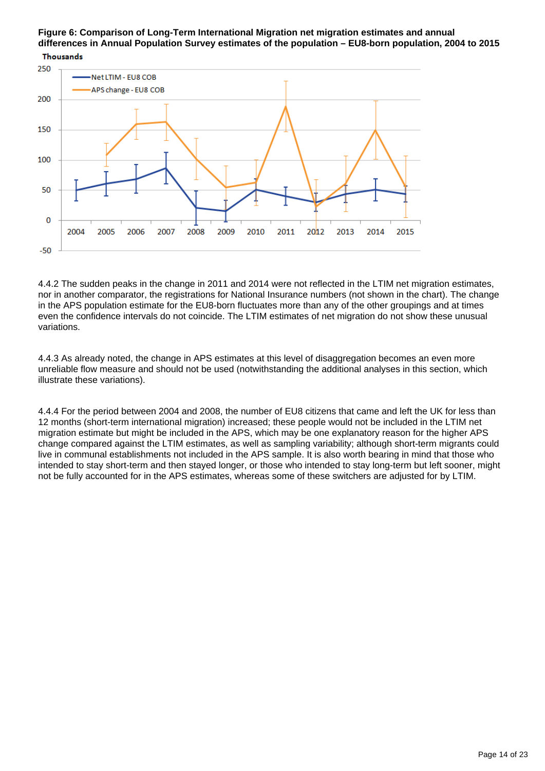### **Figure 6: Comparison of Long-Term International Migration net migration estimates and annual differences in Annual Population Survey estimates of the population – EU8-born population, 2004 to 2015**



4.4.2 The sudden peaks in the change in 2011 and 2014 were not reflected in the LTIM net migration estimates, nor in another comparator, the registrations for National Insurance numbers (not shown in the chart). The change in the APS population estimate for the EU8-born fluctuates more than any of the other groupings and at times even the confidence intervals do not coincide. The LTIM estimates of net migration do not show these unusual variations.

4.4.3 As already noted, the change in APS estimates at this level of disaggregation becomes an even more unreliable flow measure and should not be used (notwithstanding the additional analyses in this section, which illustrate these variations).

4.4.4 For the period between 2004 and 2008, the number of EU8 citizens that came and left the UK for less than 12 months (short-term international migration) increased; these people would not be included in the LTIM net migration estimate but might be included in the APS, which may be one explanatory reason for the higher APS change compared against the LTIM estimates, as well as sampling variability; although short-term migrants could live in communal establishments not included in the APS sample. It is also worth bearing in mind that those who intended to stay short-term and then stayed longer, or those who intended to stay long-term but left sooner, might not be fully accounted for in the APS estimates, whereas some of these switchers are adjusted for by LTIM.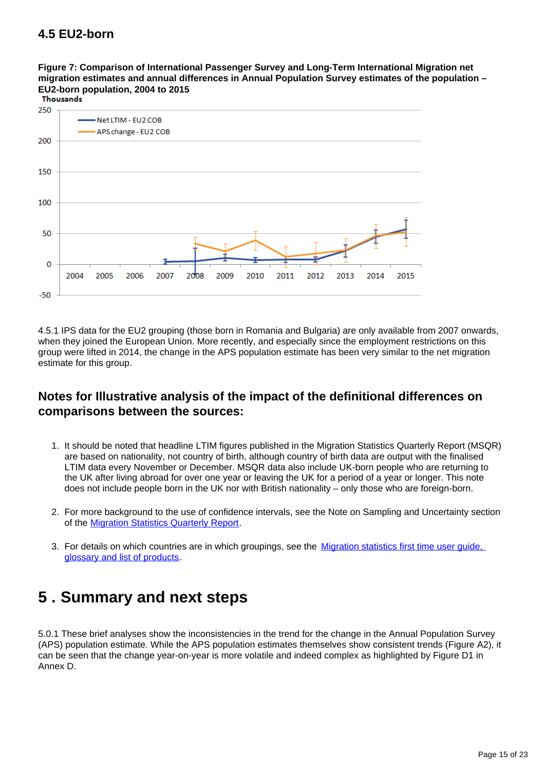## **4.5 EU2-born**

**Figure 7: Comparison of International Passenger Survey and Long-Term International Migration net migration estimates and annual differences in Annual Population Survey estimates of the population – EU2-born population, 2004 to 2015**



4.5.1 IPS data for the EU2 grouping (those born in Romania and Bulgaria) are only available from 2007 onwards, when they joined the European Union. More recently, and especially since the employment restrictions on this group were lifted in 2014, the change in the APS population estimate has been very similar to the net migration estimate for this group.

### **Notes for Illustrative analysis of the impact of the definitional differences on comparisons between the sources:**

- 1. It should be noted that headline LTIM figures published in the Migration Statistics Quarterly Report (MSQR) are based on nationality, not country of birth, although country of birth data are output with the finalised LTIM data every November or December. MSQR data also include UK-born people who are returning to the UK after living abroad for over one year or leaving the UK for a period of a year or longer. This note does not include people born in the UK nor with British nationality – only those who are foreign-born.
- 2. For more background to the use of confidence intervals, see the Note on Sampling and Uncertainty section of the [Migration Statistics Quarterly Report](http://www.ons.gov.uk/peoplepopulationandcommunity/populationandmigration/internationalmigration/bulletins/migrationstatisticsquarterlyreport/previousReleases).
- 3. For details on which countries are in which groupings, see the Migration statistics first time user guide, [glossary and list of products](https://www.ons.gov.uk/peoplepopulationandcommunity/populationandmigration/internationalmigration/methodologies/migrationstatisticsfirsttimeuserguideglossaryandlistofproducts).

# <span id="page-14-0"></span>**5 . Summary and next steps**

5.0.1 These brief analyses show the inconsistencies in the trend for the change in the Annual Population Survey (APS) population estimate. While the APS population estimates themselves show consistent trends (Figure A2), it can be seen that the change year-on-year is more volatile and indeed complex as highlighted by Figure D1 in Annex D.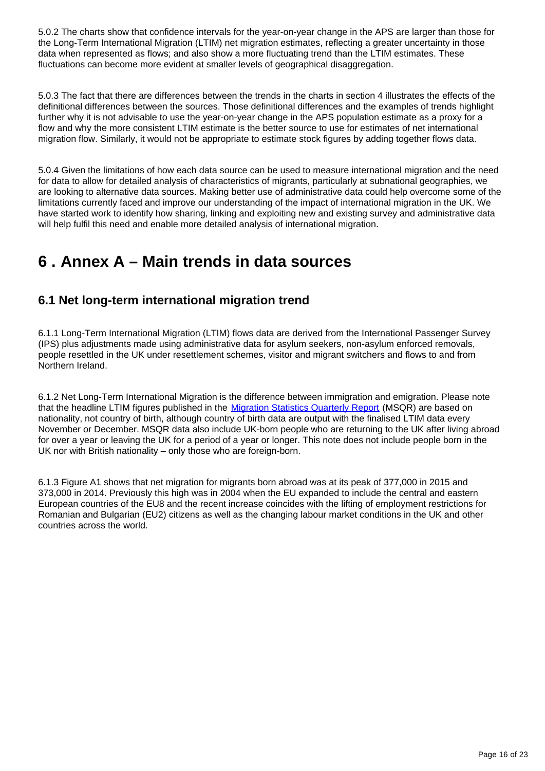5.0.2 The charts show that confidence intervals for the year-on-year change in the APS are larger than those for the Long-Term International Migration (LTIM) net migration estimates, reflecting a greater uncertainty in those data when represented as flows; and also show a more fluctuating trend than the LTIM estimates. These fluctuations can become more evident at smaller levels of geographical disaggregation.

5.0.3 The fact that there are differences between the trends in the charts in section 4 illustrates the effects of the definitional differences between the sources. Those definitional differences and the examples of trends highlight further why it is not advisable to use the year-on-year change in the APS population estimate as a proxy for a flow and why the more consistent LTIM estimate is the better source to use for estimates of net international migration flow. Similarly, it would not be appropriate to estimate stock figures by adding together flows data.

5.0.4 Given the limitations of how each data source can be used to measure international migration and the need for data to allow for detailed analysis of characteristics of migrants, particularly at subnational geographies, we are looking to alternative data sources. Making better use of administrative data could help overcome some of the limitations currently faced and improve our understanding of the impact of international migration in the UK. We have started work to identify how sharing, linking and exploiting new and existing survey and administrative data will help fulfil this need and enable more detailed analysis of international migration.

# <span id="page-15-0"></span>**6 . Annex A – Main trends in data sources**

## **6.1 Net long-term international migration trend**

6.1.1 Long-Term International Migration (LTIM) flows data are derived from the International Passenger Survey (IPS) plus adjustments made using administrative data for asylum seekers, non-asylum enforced removals, people resettled in the UK under resettlement schemes, visitor and migrant switchers and flows to and from Northern Ireland.

6.1.2 Net Long-Term International Migration is the difference between immigration and emigration. Please note that the headline LTIM figures published in the [Migration Statistics Quarterly Report](https://www.ons.gov.uk/peoplepopulationandcommunity/populationandmigration/internationalmigration/bulletins/migrationstatisticsquarterlyreport/previousReleases) (MSQR) are based on nationality, not country of birth, although country of birth data are output with the finalised LTIM data every November or December. MSQR data also include UK-born people who are returning to the UK after living abroad for over a year or leaving the UK for a period of a year or longer. This note does not include people born in the UK nor with British nationality – only those who are foreign-born.

6.1.3 Figure A1 shows that net migration for migrants born abroad was at its peak of 377,000 in 2015 and 373,000 in 2014. Previously this high was in 2004 when the EU expanded to include the central and eastern European countries of the EU8 and the recent increase coincides with the lifting of employment restrictions for Romanian and Bulgarian (EU2) citizens as well as the changing labour market conditions in the UK and other countries across the world.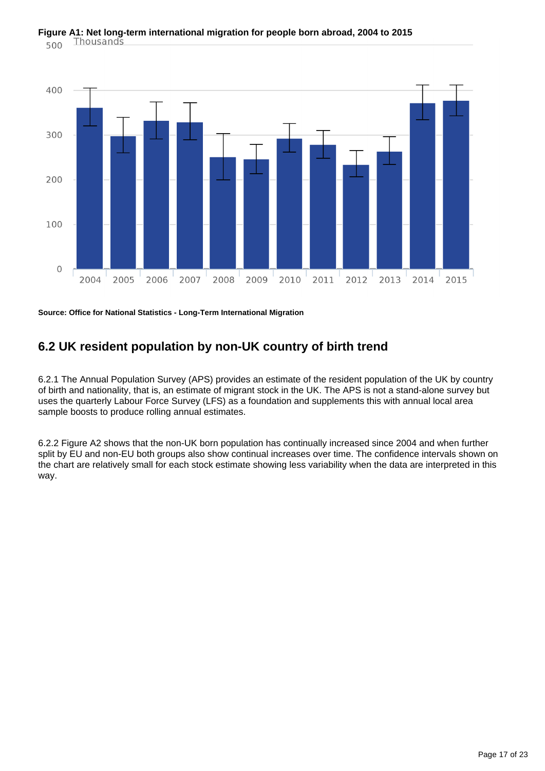

**Source: Office for National Statistics - Long-Term International Migration**

### **6.2 UK resident population by non-UK country of birth trend**

6.2.1 The Annual Population Survey (APS) provides an estimate of the resident population of the UK by country of birth and nationality, that is, an estimate of migrant stock in the UK. The APS is not a stand-alone survey but uses the quarterly Labour Force Survey (LFS) as a foundation and supplements this with annual local area sample boosts to produce rolling annual estimates.

6.2.2 Figure A2 shows that the non-UK born population has continually increased since 2004 and when further split by EU and non-EU both groups also show continual increases over time. The confidence intervals shown on the chart are relatively small for each stock estimate showing less variability when the data are interpreted in this way.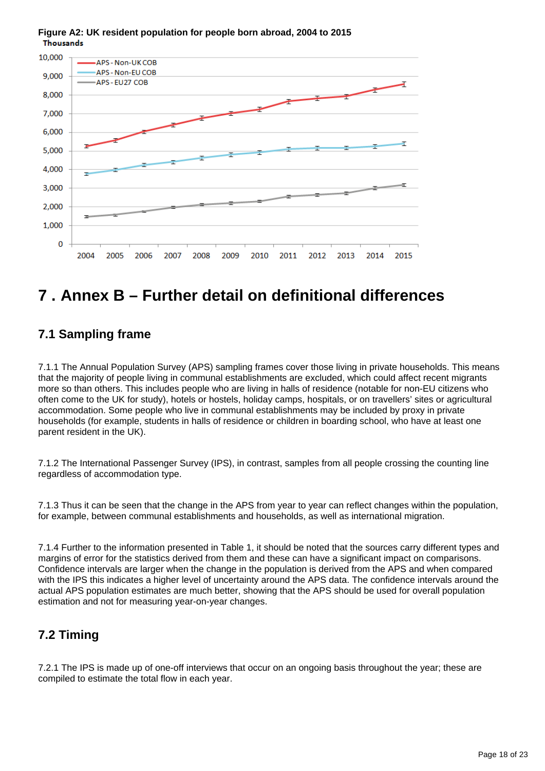

#### **Figure A2: UK resident population for people born abroad, 2004 to 2015 Thousands**

# <span id="page-17-0"></span>**7 . Annex B – Further detail on definitional differences**

## **7.1 Sampling frame**

7.1.1 The Annual Population Survey (APS) sampling frames cover those living in private households. This means that the majority of people living in communal establishments are excluded, which could affect recent migrants more so than others. This includes people who are living in halls of residence (notable for non-EU citizens who often come to the UK for study), hotels or hostels, holiday camps, hospitals, or on travellers' sites or agricultural accommodation. Some people who live in communal establishments may be included by proxy in private households (for example, students in halls of residence or children in boarding school, who have at least one parent resident in the UK).

7.1.2 The International Passenger Survey (IPS), in contrast, samples from all people crossing the counting line regardless of accommodation type.

7.1.3 Thus it can be seen that the change in the APS from year to year can reflect changes within the population, for example, between communal establishments and households, as well as international migration.

7.1.4 Further to the information presented in Table 1, it should be noted that the sources carry different types and margins of error for the statistics derived from them and these can have a significant impact on comparisons. Confidence intervals are larger when the change in the population is derived from the APS and when compared with the IPS this indicates a higher level of uncertainty around the APS data. The confidence intervals around the actual APS population estimates are much better, showing that the APS should be used for overall population estimation and not for measuring year-on-year changes.

## **7.2 Timing**

7.2.1 The IPS is made up of one-off interviews that occur on an ongoing basis throughout the year; these are compiled to estimate the total flow in each year.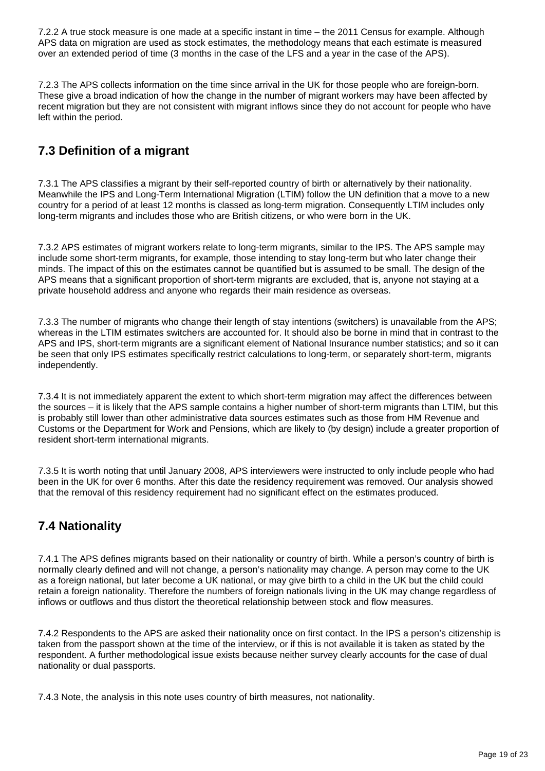7.2.2 A true stock measure is one made at a specific instant in time – the 2011 Census for example. Although APS data on migration are used as stock estimates, the methodology means that each estimate is measured over an extended period of time (3 months in the case of the LFS and a year in the case of the APS).

7.2.3 The APS collects information on the time since arrival in the UK for those people who are foreign-born. These give a broad indication of how the change in the number of migrant workers may have been affected by recent migration but they are not consistent with migrant inflows since they do not account for people who have left within the period.

## **7.3 Definition of a migrant**

7.3.1 The APS classifies a migrant by their self-reported country of birth or alternatively by their nationality. Meanwhile the IPS and Long-Term International Migration (LTIM) follow the UN definition that a move to a new country for a period of at least 12 months is classed as long-term migration. Consequently LTIM includes only long-term migrants and includes those who are British citizens, or who were born in the UK.

7.3.2 APS estimates of migrant workers relate to long-term migrants, similar to the IPS. The APS sample may include some short-term migrants, for example, those intending to stay long-term but who later change their minds. The impact of this on the estimates cannot be quantified but is assumed to be small. The design of the APS means that a significant proportion of short-term migrants are excluded, that is, anyone not staying at a private household address and anyone who regards their main residence as overseas.

7.3.3 The number of migrants who change their length of stay intentions (switchers) is unavailable from the APS; whereas in the LTIM estimates switchers are accounted for. It should also be borne in mind that in contrast to the APS and IPS, short-term migrants are a significant element of National Insurance number statistics; and so it can be seen that only IPS estimates specifically restrict calculations to long-term, or separately short-term, migrants independently.

7.3.4 It is not immediately apparent the extent to which short-term migration may affect the differences between the sources – it is likely that the APS sample contains a higher number of short-term migrants than LTIM, but this is probably still lower than other administrative data sources estimates such as those from HM Revenue and Customs or the Department for Work and Pensions, which are likely to (by design) include a greater proportion of resident short-term international migrants.

7.3.5 It is worth noting that until January 2008, APS interviewers were instructed to only include people who had been in the UK for over 6 months. After this date the residency requirement was removed. Our analysis showed that the removal of this residency requirement had no significant effect on the estimates produced.

## **7.4 Nationality**

7.4.1 The APS defines migrants based on their nationality or country of birth. While a person's country of birth is normally clearly defined and will not change, a person's nationality may change. A person may come to the UK as a foreign national, but later become a UK national, or may give birth to a child in the UK but the child could retain a foreign nationality. Therefore the numbers of foreign nationals living in the UK may change regardless of inflows or outflows and thus distort the theoretical relationship between stock and flow measures.

7.4.2 Respondents to the APS are asked their nationality once on first contact. In the IPS a person's citizenship is taken from the passport shown at the time of the interview, or if this is not available it is taken as stated by the respondent. A further methodological issue exists because neither survey clearly accounts for the case of dual nationality or dual passports.

7.4.3 Note, the analysis in this note uses country of birth measures, not nationality.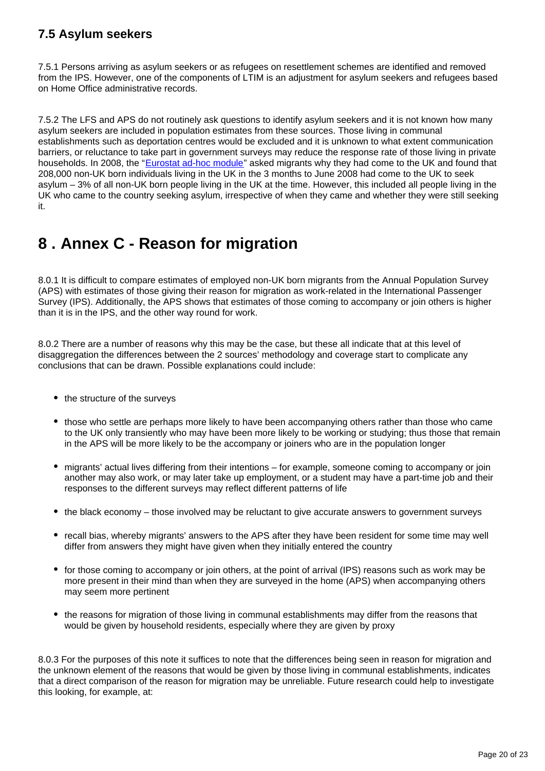## **7.5 Asylum seekers**

7.5.1 Persons arriving as asylum seekers or as refugees on resettlement schemes are identified and removed from the IPS. However, one of the components of LTIM is an adjustment for asylum seekers and refugees based on Home Office administrative records.

7.5.2 The LFS and APS do not routinely ask questions to identify asylum seekers and it is not known how many asylum seekers are included in population estimates from these sources. Those living in communal establishments such as deportation centres would be excluded and it is unknown to what extent communication barriers, or reluctance to take part in government surveys may reduce the response rate of those living in private households. In 2008, the "[Eurostat ad-hoc module](http://ec.europa.eu/eurostat/documents/1978984/6037334/Evaluation-Report-AHM-2008.pdf)" asked migrants why they had come to the UK and found that 208,000 non-UK born individuals living in the UK in the 3 months to June 2008 had come to the UK to seek asylum – 3% of all non-UK born people living in the UK at the time. However, this included all people living in the UK who came to the country seeking asylum, irrespective of when they came and whether they were still seeking it.

# <span id="page-19-0"></span>**8 . Annex C - Reason for migration**

8.0.1 It is difficult to compare estimates of employed non-UK born migrants from the Annual Population Survey (APS) with estimates of those giving their reason for migration as work-related in the International Passenger Survey (IPS). Additionally, the APS shows that estimates of those coming to accompany or join others is higher than it is in the IPS, and the other way round for work.

8.0.2 There are a number of reasons why this may be the case, but these all indicate that at this level of disaggregation the differences between the 2 sources' methodology and coverage start to complicate any conclusions that can be drawn. Possible explanations could include:

- the structure of the surveys
- those who settle are perhaps more likely to have been accompanying others rather than those who came to the UK only transiently who may have been more likely to be working or studying; thus those that remain in the APS will be more likely to be the accompany or joiners who are in the population longer
- migrants' actual lives differing from their intentions for example, someone coming to accompany or join another may also work, or may later take up employment, or a student may have a part-time job and their responses to the different surveys may reflect different patterns of life
- the black economy those involved may be reluctant to give accurate answers to government surveys
- recall bias, whereby migrants' answers to the APS after they have been resident for some time may well differ from answers they might have given when they initially entered the country
- for those coming to accompany or join others, at the point of arrival (IPS) reasons such as work may be more present in their mind than when they are surveyed in the home (APS) when accompanying others may seem more pertinent
- the reasons for migration of those living in communal establishments may differ from the reasons that would be given by household residents, especially where they are given by proxy

8.0.3 For the purposes of this note it suffices to note that the differences being seen in reason for migration and the unknown element of the reasons that would be given by those living in communal establishments, indicates that a direct comparison of the reason for migration may be unreliable. Future research could help to investigate this looking, for example, at: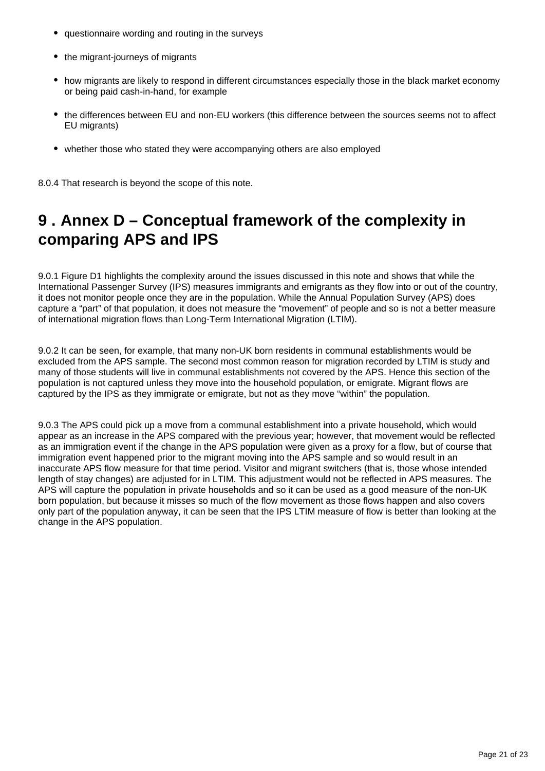- questionnaire wording and routing in the surveys
- the migrant-journeys of migrants
- how migrants are likely to respond in different circumstances especially those in the black market economy or being paid cash-in-hand, for example
- the differences between EU and non-EU workers (this difference between the sources seems not to affect EU migrants)
- whether those who stated they were accompanying others are also employed

8.0.4 That research is beyond the scope of this note.

# <span id="page-20-0"></span>**9 . Annex D – Conceptual framework of the complexity in comparing APS and IPS**

9.0.1 Figure D1 highlights the complexity around the issues discussed in this note and shows that while the International Passenger Survey (IPS) measures immigrants and emigrants as they flow into or out of the country, it does not monitor people once they are in the population. While the Annual Population Survey (APS) does capture a "part" of that population, it does not measure the "movement" of people and so is not a better measure of international migration flows than Long-Term International Migration (LTIM).

9.0.2 It can be seen, for example, that many non-UK born residents in communal establishments would be excluded from the APS sample. The second most common reason for migration recorded by LTIM is study and many of those students will live in communal establishments not covered by the APS. Hence this section of the population is not captured unless they move into the household population, or emigrate. Migrant flows are captured by the IPS as they immigrate or emigrate, but not as they move "within" the population.

9.0.3 The APS could pick up a move from a communal establishment into a private household, which would appear as an increase in the APS compared with the previous year; however, that movement would be reflected as an immigration event if the change in the APS population were given as a proxy for a flow, but of course that immigration event happened prior to the migrant moving into the APS sample and so would result in an inaccurate APS flow measure for that time period. Visitor and migrant switchers (that is, those whose intended length of stay changes) are adjusted for in LTIM. This adjustment would not be reflected in APS measures. The APS will capture the population in private households and so it can be used as a good measure of the non-UK born population, but because it misses so much of the flow movement as those flows happen and also covers only part of the population anyway, it can be seen that the IPS LTIM measure of flow is better than looking at the change in the APS population.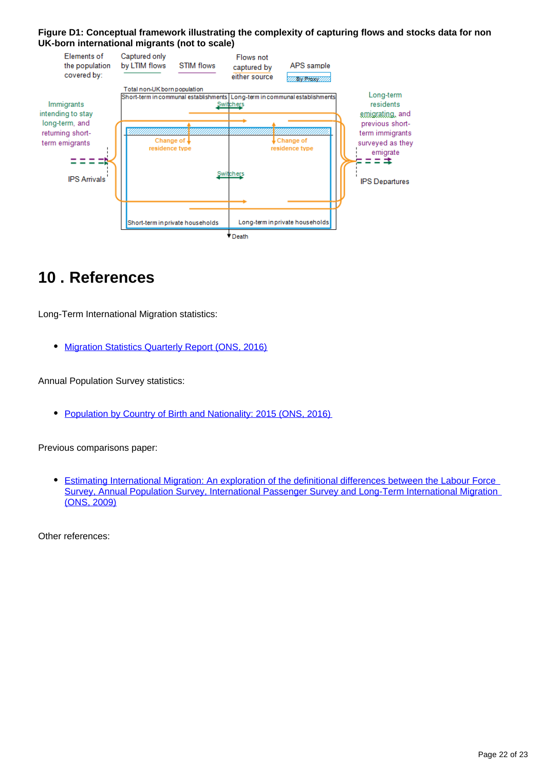#### **Figure D1: Conceptual framework illustrating the complexity of capturing flows and stocks data for non UK-born international migrants (not to scale)**



# <span id="page-21-0"></span>**10 . References**

Long-Term International Migration statistics:

**• [Migration Statistics Quarterly Report \(ONS, 2016\)](http://www.ons.gov.uk/peoplepopulationandcommunity/populationandmigration/internationalmigration/bulletins/migrationstatisticsquarterlyreport/previousReleases)** 

Annual Population Survey statistics:

• [Population by Country of Birth and Nationality: 2015 \(ONS, 2016\)](http://www.ons.gov.uk/peoplepopulationandcommunity/populationandmigration/internationalmigration/bulletins/ukpopulationbycountryofbirthandnationality/august2016)

Previous comparisons paper:

[Estimating International Migration: An exploration of the definitional differences between the Labour Force](http://www.ons.gov.uk/ons/rel/migration1/population-by-country-of-birth-and-nationality/sources-of-international-migration-data/differences-between-sources-of-international-migration-data.pdf)   $\bullet$ [Survey, Annual Population Survey, International Passenger Survey and Long-Term International Migration](http://www.ons.gov.uk/ons/rel/migration1/population-by-country-of-birth-and-nationality/sources-of-international-migration-data/differences-between-sources-of-international-migration-data.pdf)  [\(ONS, 2009\)](http://www.ons.gov.uk/ons/rel/migration1/population-by-country-of-birth-and-nationality/sources-of-international-migration-data/differences-between-sources-of-international-migration-data.pdf)

Other references: